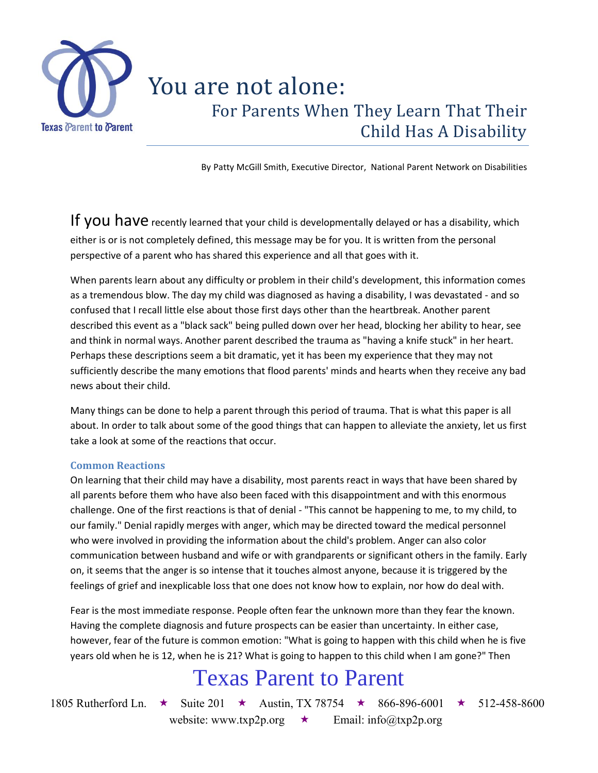

## You are not alone: For Parents When They Learn That Their Child Has A Disability

By Patty McGill Smith, Executive Director, National Parent Network on Disabilities

If you have recently learned that your child is developmentally delayed or has a disability, which either is or is not completely defined, this message may be for you. It is written from the personal perspective of a parent who has shared this experience and all that goes with it.

When parents learn about any difficulty or problem in their child's development, this information comes as a tremendous blow. The day my child was diagnosed as having a disability, I was devastated - and so confused that I recall little else about those first days other than the heartbreak. Another parent described this event as a "black sack" being pulled down over her head, blocking her ability to hear, see and think in normal ways. Another parent described the trauma as "having a knife stuck" in her heart. Perhaps these descriptions seem a bit dramatic, yet it has been my experience that they may not sufficiently describe the many emotions that flood parents' minds and hearts when they receive any bad news about their child.

Many things can be done to help a parent through this period of trauma. That is what this paper is all about. In order to talk about some of the good things that can happen to alleviate the anxiety, let us first take a look at some of the reactions that occur.

### **Common Reactions**

On learning that their child may have a disability, most parents react in ways that have been shared by all parents before them who have also been faced with this disappointment and with this enormous challenge. One of the first reactions is that of denial - "This cannot be happening to me, to my child, to our family." Denial rapidly merges with anger, which may be directed toward the medical personnel who were involved in providing the information about the child's problem. Anger can also color communication between husband and wife or with grandparents or significant others in the family. Early on, it seems that the anger is so intense that it touches almost anyone, because it is triggered by the feelings of grief and inexplicable loss that one does not know how to explain, nor how do deal with.

Fear is the most immediate response. People often fear the unknown more than they fear the known. Having the complete diagnosis and future prospects can be easier than uncertainty. In either case, however, fear of the future is common emotion: "What is going to happen with this child when he is five years old when he is 12, when he is 21? What is going to happen to this child when I am gone?" Then

## Texas Parent to Parent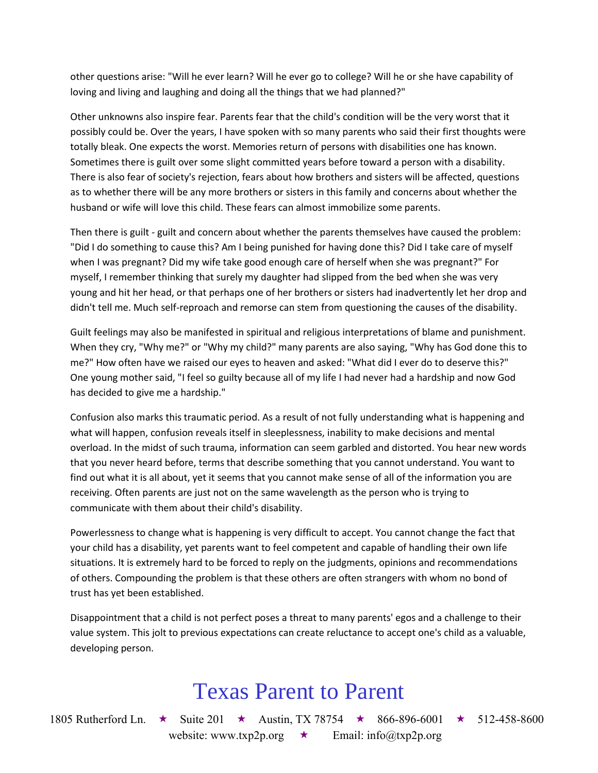other questions arise: "Will he ever learn? Will he ever go to college? Will he or she have capability of loving and living and laughing and doing all the things that we had planned?"

Other unknowns also inspire fear. Parents fear that the child's condition will be the very worst that it possibly could be. Over the years, I have spoken with so many parents who said their first thoughts were totally bleak. One expects the worst. Memories return of persons with disabilities one has known. Sometimes there is guilt over some slight committed years before toward a person with a disability. There is also fear of society's rejection, fears about how brothers and sisters will be affected, questions as to whether there will be any more brothers or sisters in this family and concerns about whether the husband or wife will love this child. These fears can almost immobilize some parents.

Then there is guilt - guilt and concern about whether the parents themselves have caused the problem: "Did I do something to cause this? Am I being punished for having done this? Did I take care of myself when I was pregnant? Did my wife take good enough care of herself when she was pregnant?" For myself, I remember thinking that surely my daughter had slipped from the bed when she was very young and hit her head, or that perhaps one of her brothers or sisters had inadvertently let her drop and didn't tell me. Much self-reproach and remorse can stem from questioning the causes of the disability.

Guilt feelings may also be manifested in spiritual and religious interpretations of blame and punishment. When they cry, "Why me?" or "Why my child?" many parents are also saying, "Why has God done this to me?" How often have we raised our eyes to heaven and asked: "What did I ever do to deserve this?" One young mother said, "I feel so guilty because all of my life I had never had a hardship and now God has decided to give me a hardship."

Confusion also marks this traumatic period. As a result of not fully understanding what is happening and what will happen, confusion reveals itself in sleeplessness, inability to make decisions and mental overload. In the midst of such trauma, information can seem garbled and distorted. You hear new words that you never heard before, terms that describe something that you cannot understand. You want to find out what it is all about, yet it seems that you cannot make sense of all of the information you are receiving. Often parents are just not on the same wavelength as the person who is trying to communicate with them about their child's disability.

Powerlessness to change what is happening is very difficult to accept. You cannot change the fact that your child has a disability, yet parents want to feel competent and capable of handling their own life situations. It is extremely hard to be forced to reply on the judgments, opinions and recommendations of others. Compounding the problem is that these others are often strangers with whom no bond of trust has yet been established.

Disappointment that a child is not perfect poses a threat to many parents' egos and a challenge to their value system. This jolt to previous expectations can create reluctance to accept one's child as a valuable, developing person.

## Texas Parent to Parent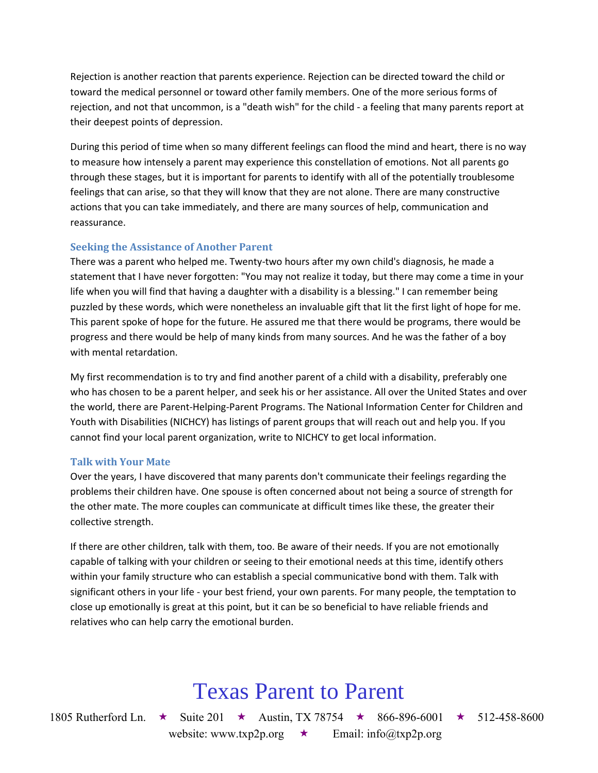Rejection is another reaction that parents experience. Rejection can be directed toward the child or toward the medical personnel or toward other family members. One of the more serious forms of rejection, and not that uncommon, is a "death wish" for the child - a feeling that many parents report at their deepest points of depression.

During this period of time when so many different feelings can flood the mind and heart, there is no way to measure how intensely a parent may experience this constellation of emotions. Not all parents go through these stages, but it is important for parents to identify with all of the potentially troublesome feelings that can arise, so that they will know that they are not alone. There are many constructive actions that you can take immediately, and there are many sources of help, communication and reassurance.

## **Seeking the Assistance of Another Parent**

There was a parent who helped me. Twenty-two hours after my own child's diagnosis, he made a statement that I have never forgotten: "You may not realize it today, but there may come a time in your life when you will find that having a daughter with a disability is a blessing." I can remember being puzzled by these words, which were nonetheless an invaluable gift that lit the first light of hope for me. This parent spoke of hope for the future. He assured me that there would be programs, there would be progress and there would be help of many kinds from many sources. And he was the father of a boy with mental retardation.

My first recommendation is to try and find another parent of a child with a disability, preferably one who has chosen to be a parent helper, and seek his or her assistance. All over the United States and over the world, there are Parent-Helping-Parent Programs. The National Information Center for Children and Youth with Disabilities (NICHCY) has listings of parent groups that will reach out and help you. If you cannot find your local parent organization, write to NICHCY to get local information.

## **Talk with Your Mate**

Over the years, I have discovered that many parents don't communicate their feelings regarding the problems their children have. One spouse is often concerned about not being a source of strength for the other mate. The more couples can communicate at difficult times like these, the greater their collective strength.

If there are other children, talk with them, too. Be aware of their needs. If you are not emotionally capable of talking with your children or seeing to their emotional needs at this time, identify others within your family structure who can establish a special communicative bond with them. Talk with significant others in your life - your best friend, your own parents. For many people, the temptation to close up emotionally is great at this point, but it can be so beneficial to have reliable friends and relatives who can help carry the emotional burden.

# Texas Parent to Parent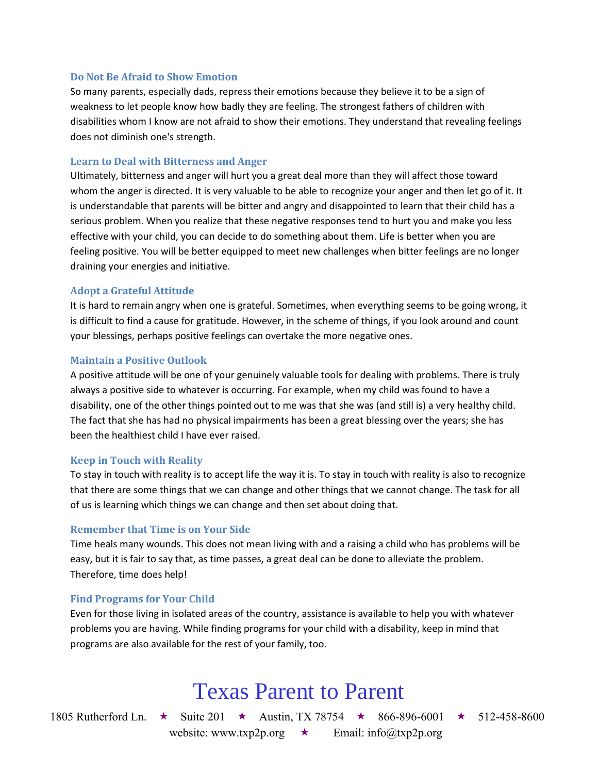#### **Do Not Be Afraid to Show Emotion**

So many parents, especially dads, repress their emotions because they believe it to be a sign of weakness to let people know how badly they are feeling. The strongest fathers of children with disabilities whom I know are not afraid to show their emotions. They understand that revealing feelings does not diminish one's strength.

#### **Learn to Deal with Bitterness and Anger**

Ultimately, bitterness and anger will hurt you a great deal more than they will affect those toward whom the anger is directed. It is very valuable to be able to recognize your anger and then let go of it. It is understandable that parents will be bitter and angry and disappointed to learn that their child has a serious problem. When you realize that these negative responses tend to hurt you and make you less effective with your child, you can decide to do something about them. Life is better when you are feeling positive. You will be better equipped to meet new challenges when bitter feelings are no longer draining your energies and initiative.

#### **Adopt a Grateful Attitude**

It is hard to remain angry when one is grateful. Sometimes, when everything seems to be going wrong, it is difficult to find a cause for gratitude. However, in the scheme of things, if you look around and count your blessings, perhaps positive feelings can overtake the more negative ones.

#### **Maintain a Positive Outlook**

A positive attitude will be one of your genuinely valuable tools for dealing with problems. There is truly always a positive side to whatever is occurring. For example, when my child was found to have a disability, one of the other things pointed out to me was that she was (and still is) a very healthy child. The fact that she has had no physical impairments has been a great blessing over the years; she has been the healthiest child I have ever raised.

#### **Keep in Touch with Reality**

To stay in touch with reality is to accept life the way it is. To stay in touch with reality is also to recognize that there are some things that we can change and other things that we cannot change. The task for all of us is learning which things we can change and then set about doing that.

#### **Remember that Time is on Your Side**

Time heals many wounds. This does not mean living with and a raising a child who has problems will be easy, but it is fair to say that, as time passes, a great deal can be done to alleviate the problem. Therefore, time does help!

### **Find Programs for Your Child**

Even for those living in isolated areas of the country, assistance is available to help you with whatever problems you are having. While finding programs for your child with a disability, keep in mind that programs are also available for the rest of your family, too.

## Texas Parent to Parent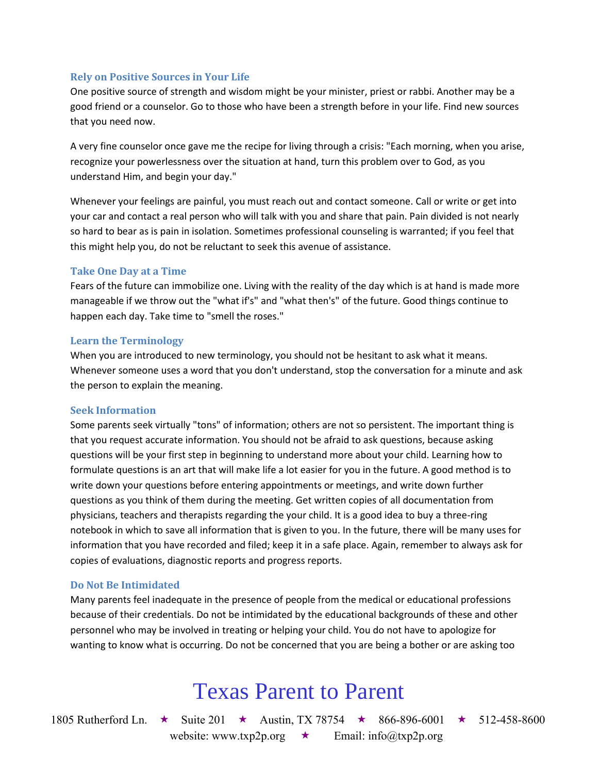### **Rely on Positive Sources in Your Life**

One positive source of strength and wisdom might be your minister, priest or rabbi. Another may be a good friend or a counselor. Go to those who have been a strength before in your life. Find new sources that you need now.

A very fine counselor once gave me the recipe for living through a crisis: "Each morning, when you arise, recognize your powerlessness over the situation at hand, turn this problem over to God, as you understand Him, and begin your day."

Whenever your feelings are painful, you must reach out and contact someone. Call or write or get into your car and contact a real person who will talk with you and share that pain. Pain divided is not nearly so hard to bear as is pain in isolation. Sometimes professional counseling is warranted; if you feel that this might help you, do not be reluctant to seek this avenue of assistance.

### **Take One Day at a Time**

Fears of the future can immobilize one. Living with the reality of the day which is at hand is made more manageable if we throw out the "what if's" and "what then's" of the future. Good things continue to happen each day. Take time to "smell the roses."

### **Learn the Terminology**

When you are introduced to new terminology, you should not be hesitant to ask what it means. Whenever someone uses a word that you don't understand, stop the conversation for a minute and ask the person to explain the meaning.

### **Seek Information**

Some parents seek virtually "tons" of information; others are not so persistent. The important thing is that you request accurate information. You should not be afraid to ask questions, because asking questions will be your first step in beginning to understand more about your child. Learning how to formulate questions is an art that will make life a lot easier for you in the future. A good method is to write down your questions before entering appointments or meetings, and write down further questions as you think of them during the meeting. Get written copies of all documentation from physicians, teachers and therapists regarding the your child. It is a good idea to buy a three-ring notebook in which to save all information that is given to you. In the future, there will be many uses for information that you have recorded and filed; keep it in a safe place. Again, remember to always ask for copies of evaluations, diagnostic reports and progress reports.

### **Do Not Be Intimidated**

Many parents feel inadequate in the presence of people from the medical or educational professions because of their credentials. Do not be intimidated by the educational backgrounds of these and other personnel who may be involved in treating or helping your child. You do not have to apologize for wanting to know what is occurring. Do not be concerned that you are being a bother or are asking too

# Texas Parent to Parent